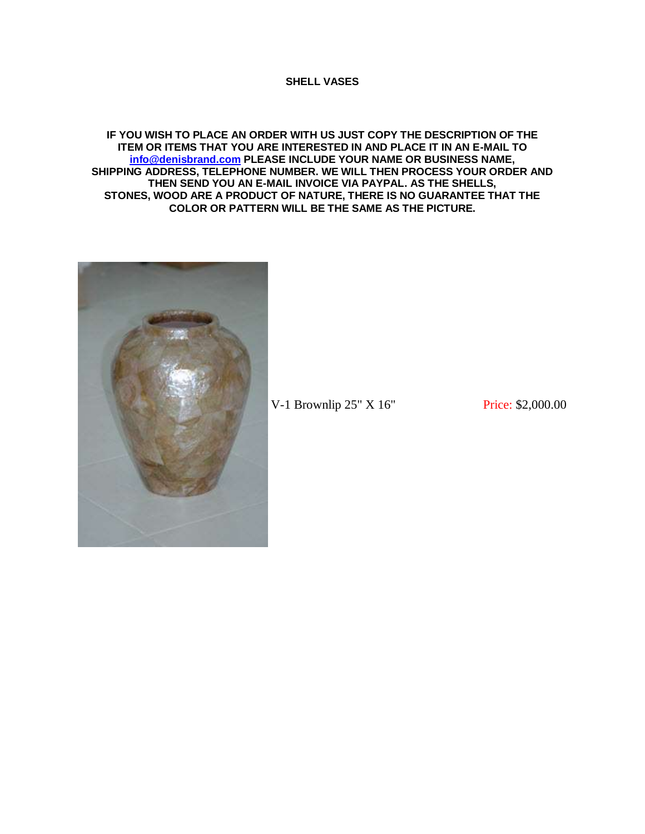## **SHELL VASES**

**IF YOU WISH TO PLACE AN ORDER WITH US JUST COPY THE DESCRIPTION OF THE ITEM OR ITEMS THAT YOU ARE INTERESTED IN AND PLACE IT IN AN E-MAIL TO [info@denisbrand.com](mailto:info@denisbrand.com) PLEASE INCLUDE YOUR NAME OR BUSINESS NAME, SHIPPING ADDRESS, TELEPHONE NUMBER. WE WILL THEN PROCESS YOUR ORDER AND THEN SEND YOU AN E-MAIL INVOICE VIA PAYPAL. AS THE SHELLS, STONES, WOOD ARE A PRODUCT OF NATURE, THERE IS NO GUARANTEE THAT THE COLOR OR PATTERN WILL BE THE SAME AS THE PICTURE.**



V-1 Brownlip 25" X 16" Price: \$2,000.00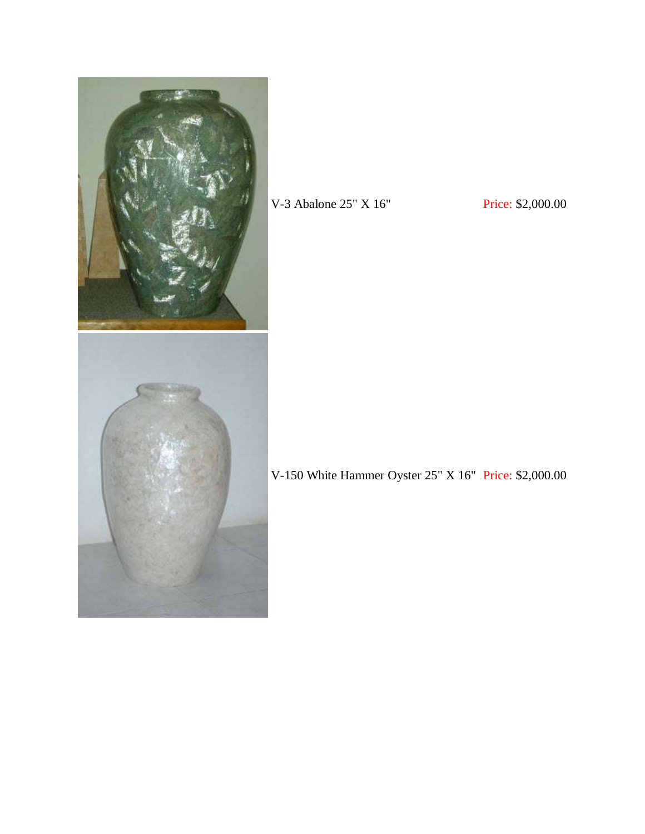

V-3 Abalone 25" X 16" Price: \$2,000.00

V-150 White Hammer Oyster 25" X 16" Price: \$2,000.00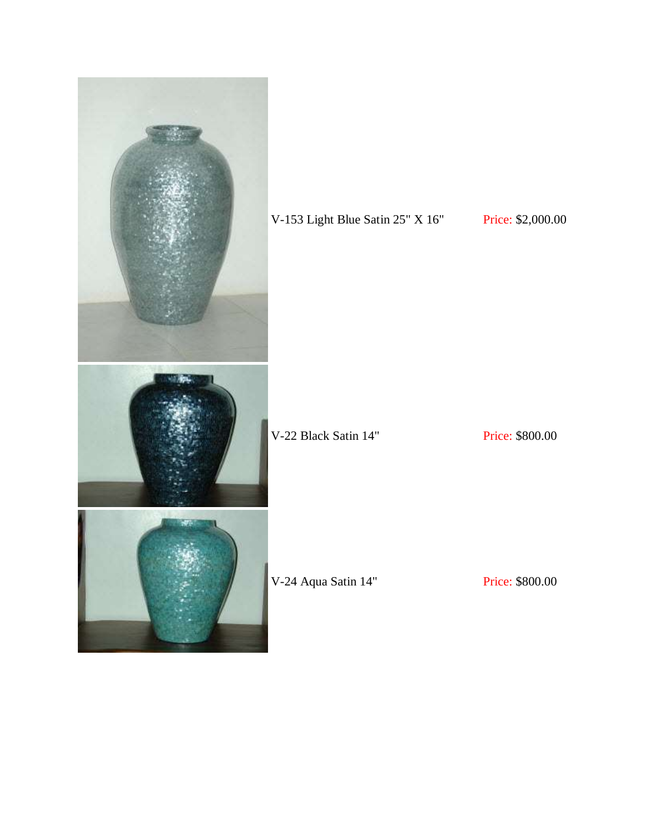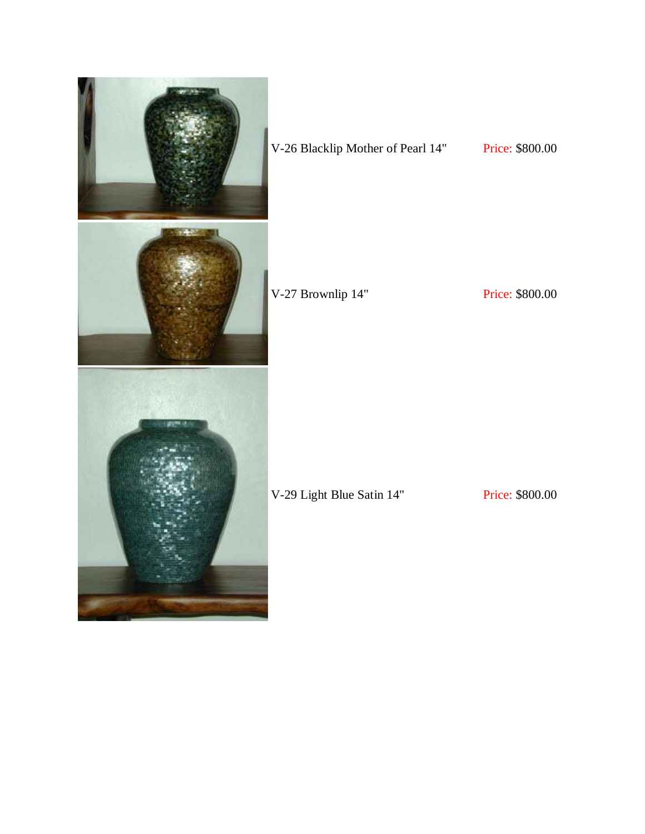

## V-26 Blacklip Mother of Pearl 14" Price: \$800.00

V-27 Brownlip 14" Price: \$800.00

V-29 Light Blue Satin 14" Price: \$800.00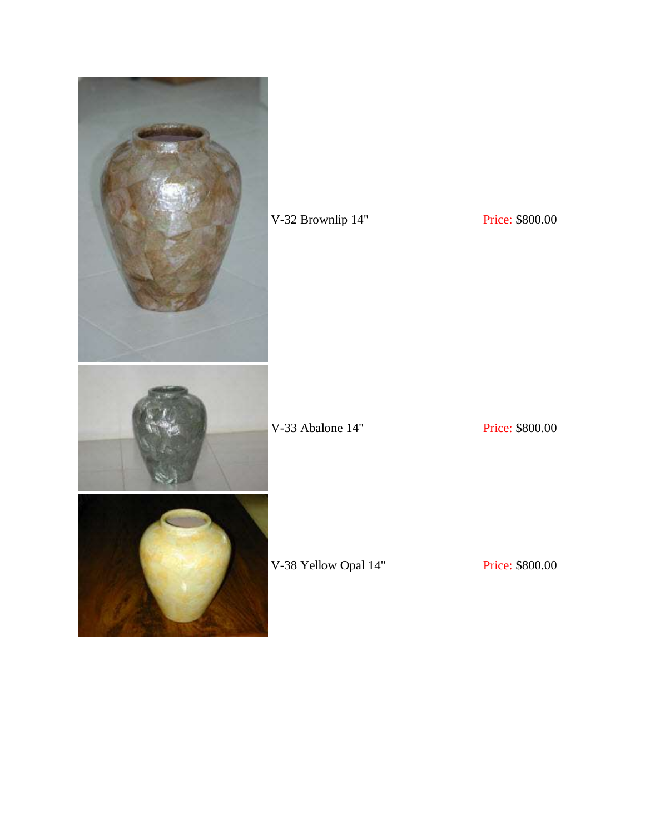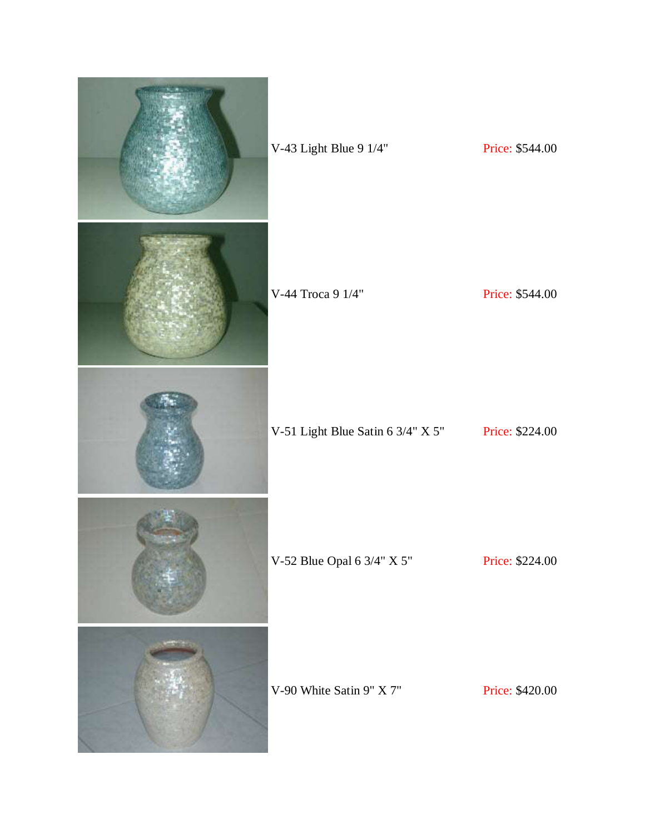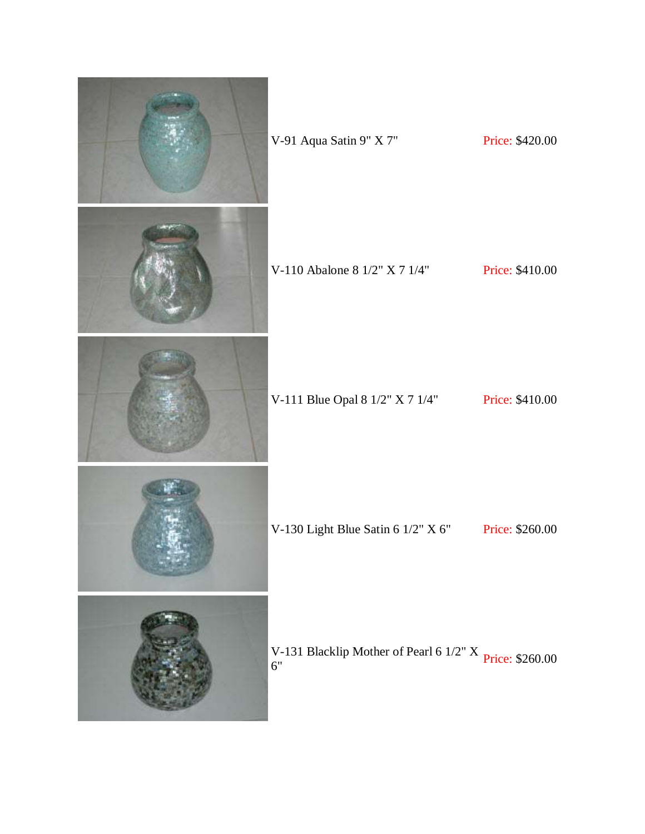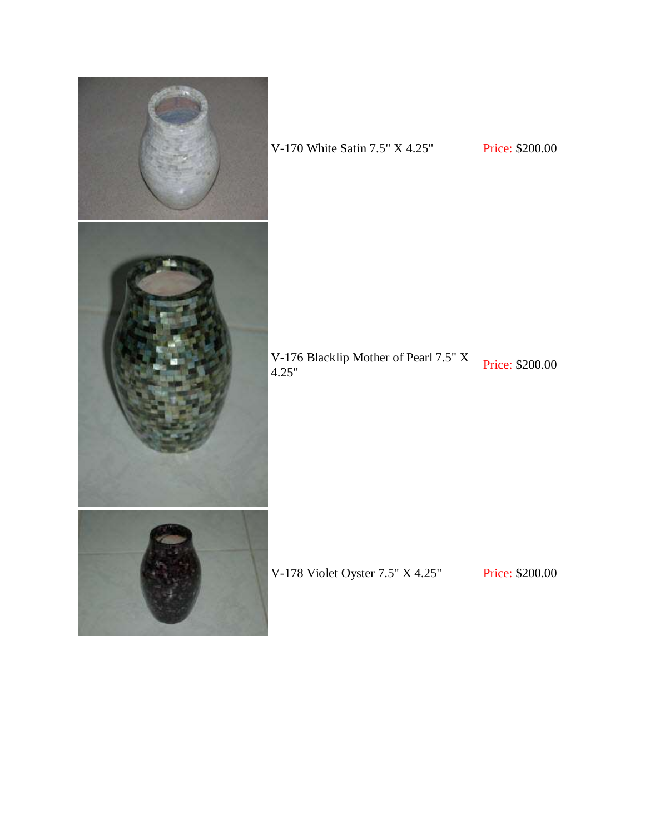

V-170 White Satin 7.5" X 4.25" Price: \$200.00

V-176 Blacklip Mother of Pearl 7.5" X<br>4.25"

V-178 Violet Oyster 7.5" X 4.25" Price: \$200.00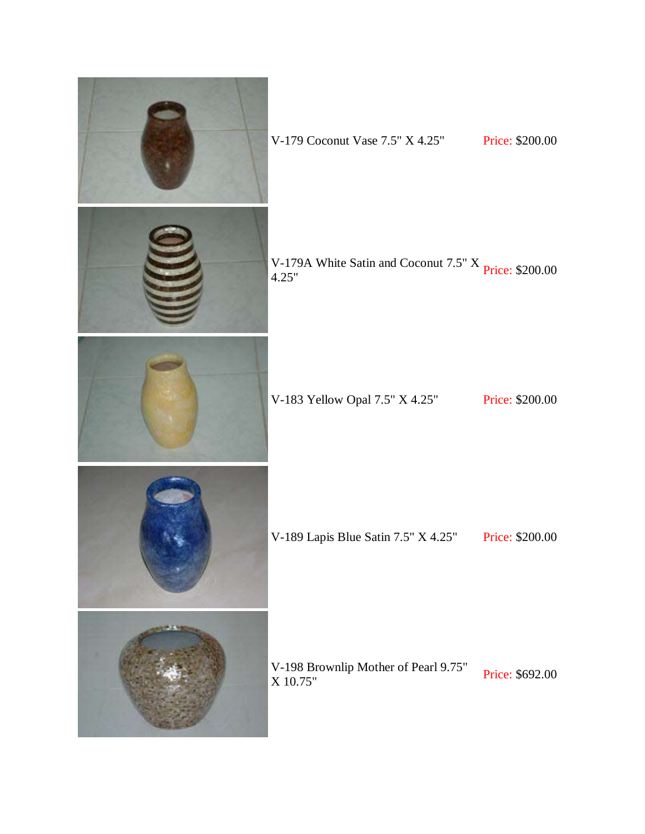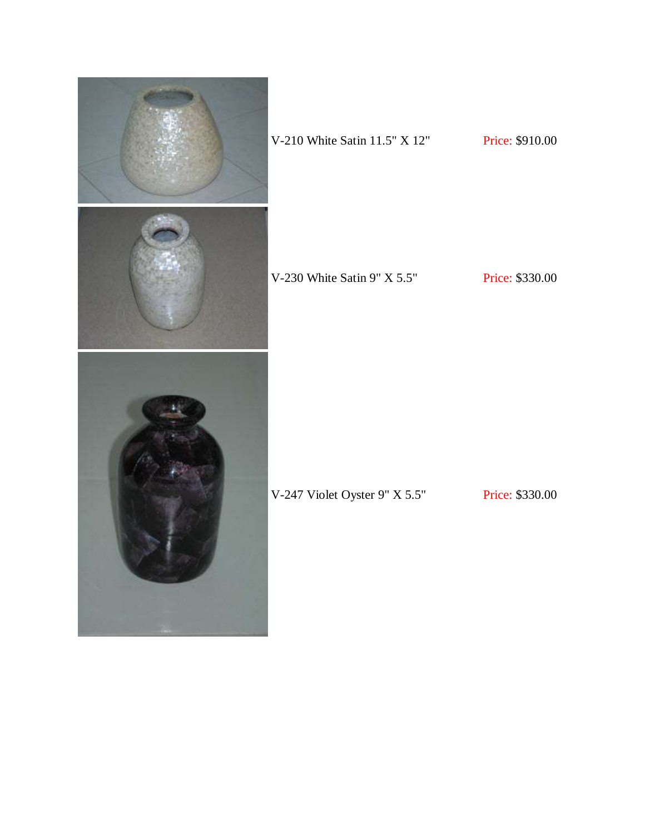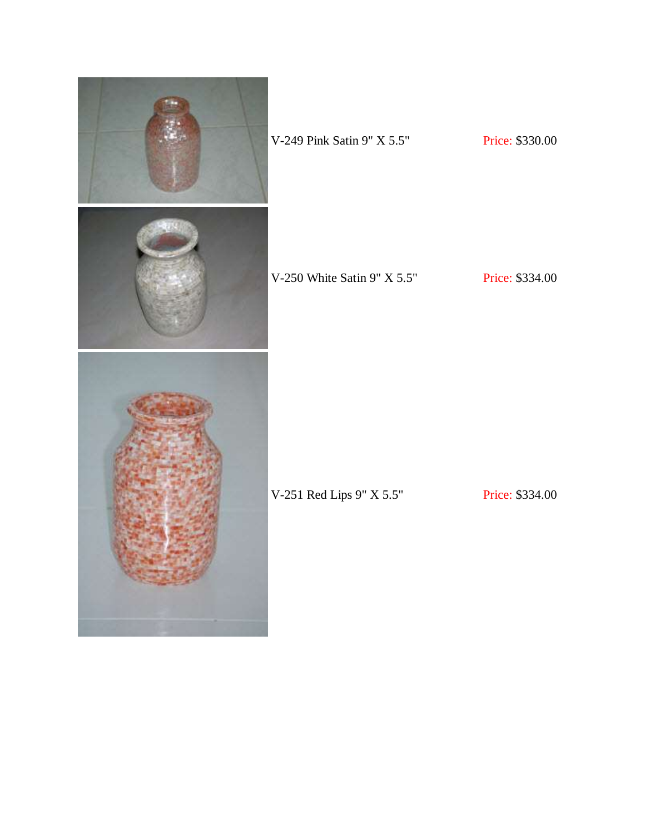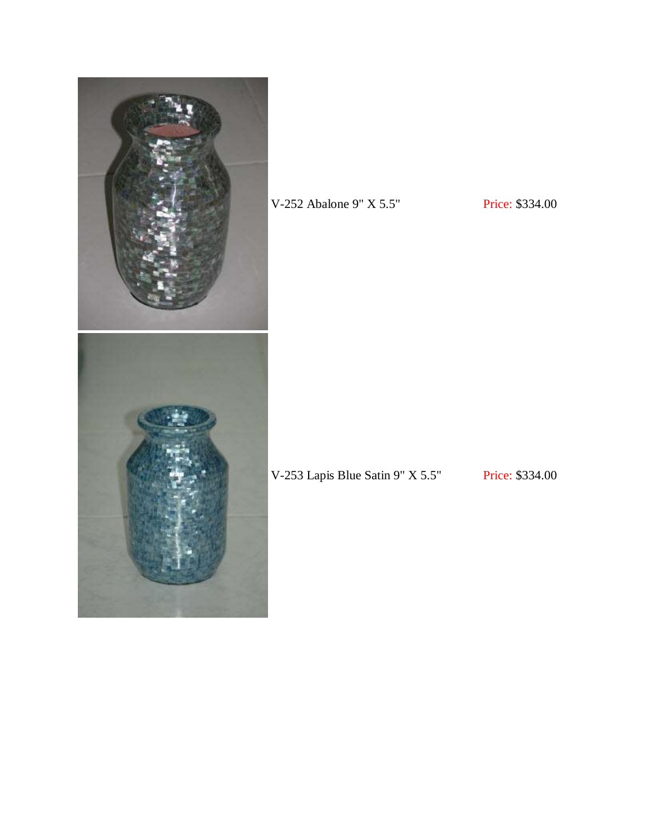

V-252 Abalone 9" X 5.5" Price: \$334.00

V-253 Lapis Blue Satin 9" X 5.5" Price: \$334.00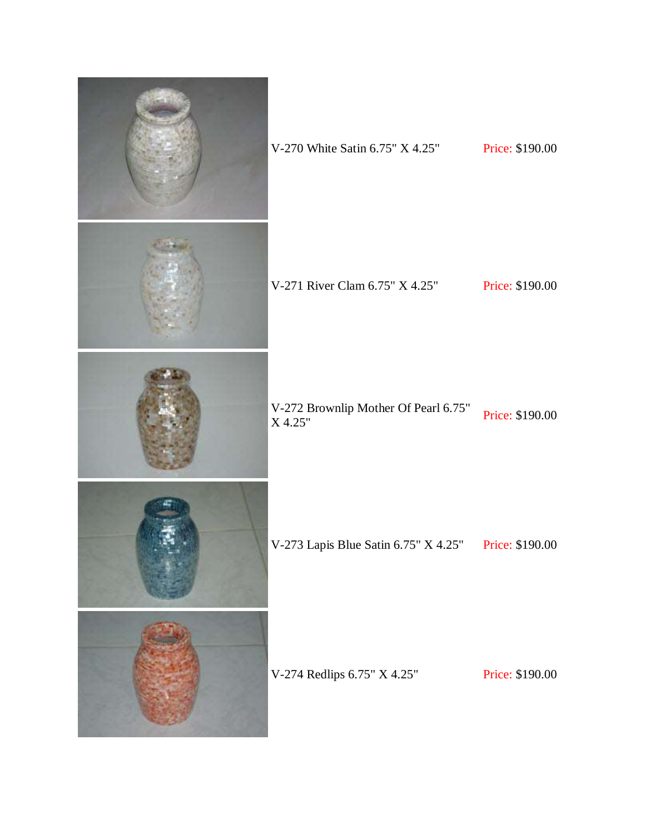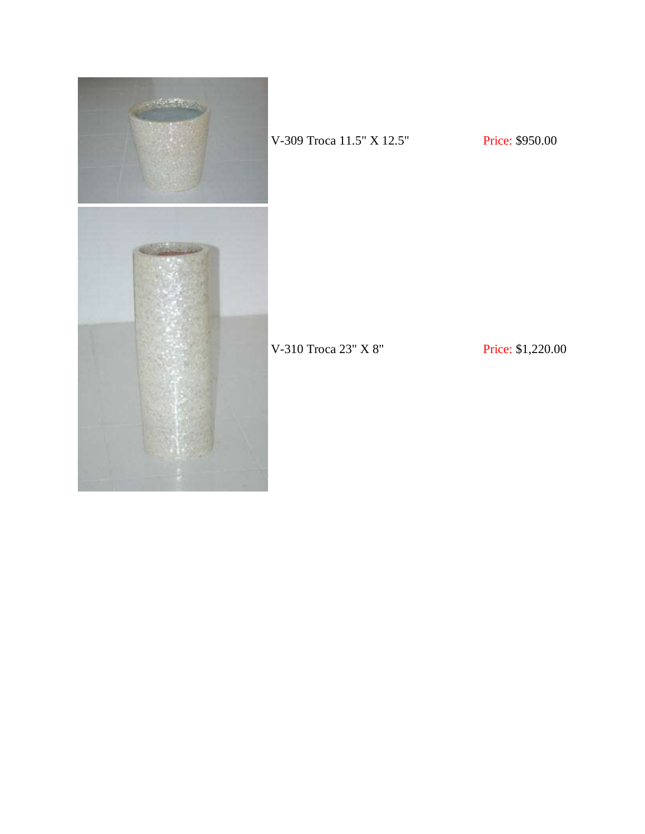

V-309 Troca 11.5" X 12.5" Price: \$950.00

V-310 Troca 23" X 8" Price: \$1,220.00